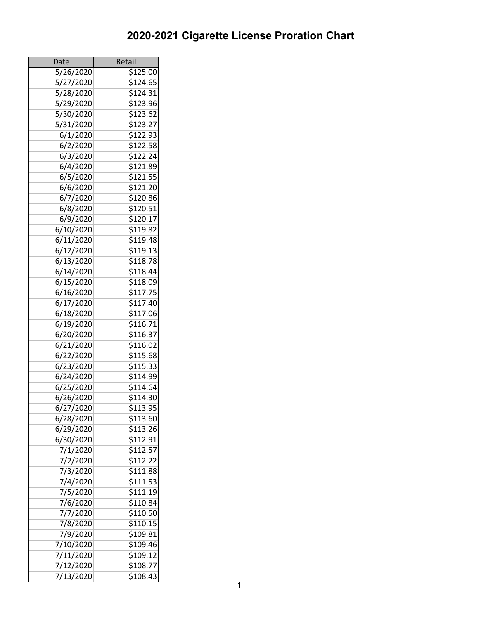| Date                   | Retail               |
|------------------------|----------------------|
| 5/26/2020              | $\overline{$125.00}$ |
| 5/27/2020              | \$124.65             |
| 5/28/2020              | \$124.31             |
| 5/29/2020              | \$123.96             |
| 5/30/2020              | \$123.62             |
| 5/31/2020              | \$123.27             |
| 6/1/2020               | \$122.93             |
| 6/2/2020               | $\overline{$}122.58$ |
| 6/3/2020               | \$122.24             |
| 6/4/2020               | \$121.89             |
| 6/5/2020               | \$121.55             |
| 6/6/2020               | \$121.20             |
| 6/7/2020               | \$120.86             |
| 6/8/2020               | \$120.51             |
| 6/9/2020               | \$120.17             |
| 6/10/2020              | \$119.82             |
| 6/11/2020              | \$119.48             |
| 6/12/2020              | \$119.13             |
| 6/13/2020              | \$118.78             |
| 6/14/2020              | \$118.44             |
| 6/15/2020              | \$118.09             |
| 6/16/2020              | \$117.75             |
| 6/17/2020              | \$117.40             |
| 6/18/2020              | \$117.06             |
| 6/19/2020              | $\overline{$}116.71$ |
| 6/20/2020              | \$116.37             |
| 6/21/2020              | \$116.02             |
| 6/22/2020              | \$115.68             |
| 6/23/2020              | \$115.33             |
|                        | \$114.99             |
| 6/24/2020              | \$114.64             |
| 6/25/2020<br>6/26/2020 |                      |
|                        | \$114.30             |
| 6/27/2020              | \$113.95             |
| 6/28/2020              | \$113.60             |
| 6/29/2020              | \$113.26             |
| 6/30/2020              | \$112.91             |
| 7/1/2020               | \$112.57             |
| 7/2/2020               | \$112.22             |
| 7/3/2020               | \$111.88             |
| 7/4/2020               | \$111.53             |
| 7/5/2020               | \$111.19             |
| 7/6/2020               | \$110.84             |
| 7/7/2020               | \$110.50             |
| 7/8/2020               | \$110.15             |
| 7/9/2020               | \$109.81             |
| 7/10/2020              | \$109.46             |
| 7/11/2020              | \$109.12             |
| 7/12/2020              | \$108.77             |
| 7/13/2020              | \$108.43             |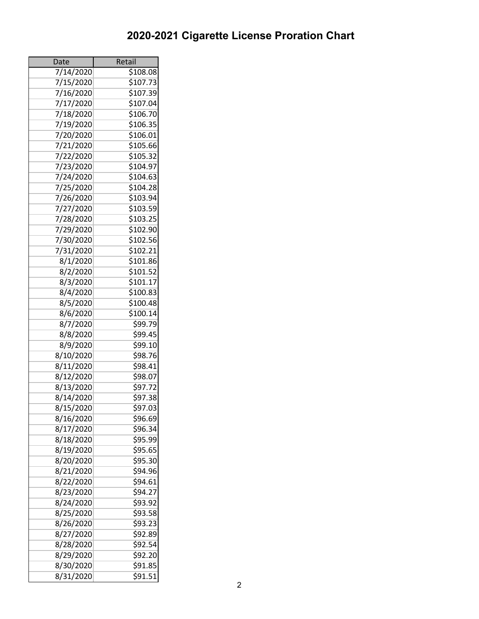| Date      | Retail   |
|-----------|----------|
| 7/14/2020 | \$108.08 |
| 7/15/2020 | \$107.73 |
| 7/16/2020 | \$107.39 |
| 7/17/2020 | \$107.04 |
| 7/18/2020 | \$106.70 |
| 7/19/2020 | \$106.35 |
| 7/20/2020 | \$106.01 |
| 7/21/2020 | \$105.66 |
| 7/22/2020 | \$105.32 |
| 7/23/2020 | \$104.97 |
| 7/24/2020 | \$104.63 |
| 7/25/2020 | \$104.28 |
| 7/26/2020 | \$103.94 |
| 7/27/2020 | \$103.59 |
| 7/28/2020 | \$103.25 |
| 7/29/2020 | \$102.90 |
| 7/30/2020 | \$102.56 |
| 7/31/2020 | \$102.21 |
| 8/1/2020  | \$101.86 |
| 8/2/2020  | \$101.52 |
| 8/3/2020  | \$101.17 |
| 8/4/2020  | \$100.83 |
| 8/5/2020  | \$100.48 |
| 8/6/2020  | \$100.14 |
| 8/7/2020  | \$99.79  |
| 8/8/2020  | \$99.45  |
| 8/9/2020  | \$99.10  |
| 8/10/2020 | \$98.76  |
|           | \$98.41  |
| 8/11/2020 |          |
| 8/12/2020 | \$98.07  |
| 8/13/2020 | \$97.72  |
| 8/14/2020 | \$97.38  |
| 8/15/2020 | \$97.03  |
| 8/16/2020 | \$96.69  |
| 8/17/2020 | \$96.34  |
| 8/18/2020 | \$95.99  |
| 8/19/2020 | 595.65   |
| 8/20/2020 | \$95.30  |
| 8/21/2020 | \$94.96  |
| 8/22/2020 | \$94.61  |
| 8/23/2020 | 594.27   |
| 8/24/2020 | \$93.92  |
| 8/25/2020 | \$93.58  |
| 8/26/2020 | \$93.23  |
| 8/27/2020 | \$92.89  |
| 8/28/2020 | \$92.54  |
| 8/29/2020 | \$92.20  |
| 8/30/2020 | \$91.85  |
| 8/31/2020 | 591.51   |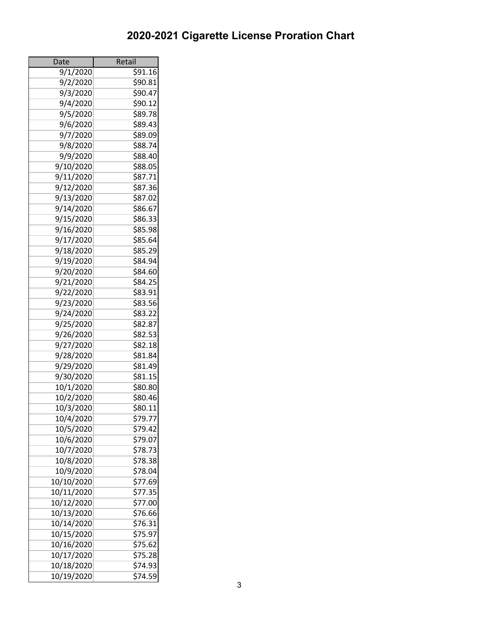| Date       | Retail             |
|------------|--------------------|
| 9/1/2020   | $\frac{1}{591.16}$ |
| 9/2/2020   | \$90.81            |
| 9/3/2020   | \$90.47            |
| 9/4/2020   | \$90.12            |
| 9/5/2020   | \$89.78            |
| 9/6/2020   | \$89.43            |
| 9/7/2020   | \$89.09            |
| 9/8/2020   | \$88.74            |
| 9/9/2020   | \$88.40            |
| 9/10/2020  | \$88.05            |
| 9/11/2020  | \$87.71            |
| 9/12/2020  | \$87.36            |
| 9/13/2020  | \$87.02            |
| 9/14/2020  | \$86.67            |
| 9/15/2020  | \$86.33            |
| 9/16/2020  | \$85.98            |
| 9/17/2020  | \$85.64            |
| 9/18/2020  | \$85.29            |
| 9/19/2020  | \$84.94            |
| 9/20/2020  | \$84.60            |
| 9/21/2020  | \$84.25            |
| 9/22/2020  | \$83.91            |
| 9/23/2020  | \$83.56            |
| 9/24/2020  | \$83.22            |
| 9/25/2020  | \$82.87            |
| 9/26/2020  | \$82.53            |
| 9/27/2020  | \$82.18            |
| 9/28/2020  | \$81.84            |
| 9/29/2020  | \$81.49            |
| 9/30/2020  | \$81.15            |
| 10/1/2020  | \$80.80            |
| 10/2/2020  | \$80.46            |
| 10/3/2020  | \$80.11            |
| 10/4/2020  | \$79.77            |
| 10/5/2020  | \$79.42            |
|            | \$79.07            |
| 10/6/2020  |                    |
| 10/7/2020  | \$78.73            |
| 10/8/2020  | \$78.38            |
| 10/9/2020  | \$78.04            |
| 10/10/2020 | \$77.69            |
| 10/11/2020 | \$77.35            |
| 10/12/2020 | \$77.00            |
| 10/13/2020 | \$76.66            |
| 10/14/2020 | \$76.31            |
| 10/15/2020 | \$75.97            |
| 10/16/2020 | \$75.62            |
| 10/17/2020 | \$75.28            |
| 10/18/2020 | \$74.93            |
| 10/19/2020 | \$74.59            |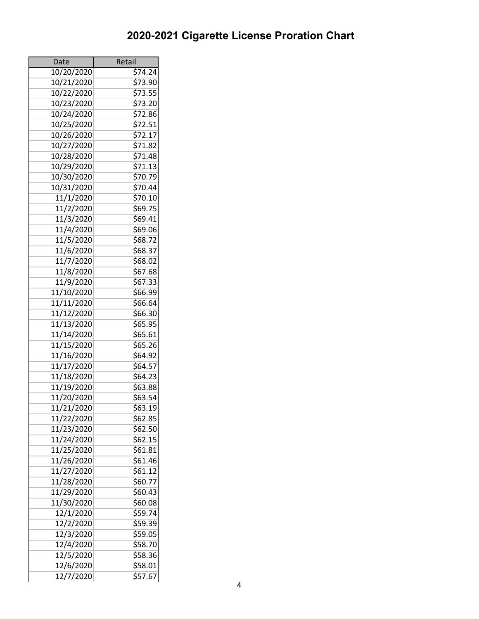| Date       | Retail  |
|------------|---------|
| 10/20/2020 | \$74.24 |
| 10/21/2020 | \$73.90 |
| 10/22/2020 | \$73.55 |
| 10/23/2020 | \$73.20 |
| 10/24/2020 | \$72.86 |
| 10/25/2020 | \$72.51 |
| 10/26/2020 | \$72.17 |
| 10/27/2020 | \$71.82 |
| 10/28/2020 | \$71.48 |
| 10/29/2020 | \$71.13 |
| 10/30/2020 | \$70.79 |
| 10/31/2020 | \$70.44 |
| 11/1/2020  | \$70.10 |
| 11/2/2020  | \$69.75 |
| 11/3/2020  | \$69.41 |
| 11/4/2020  | \$69.06 |
| 11/5/2020  | \$68.72 |
| 11/6/2020  | \$68.37 |
|            | \$68.02 |
| 11/7/2020  |         |
| 11/8/2020  | \$67.68 |
| 11/9/2020  | \$67.33 |
| 11/10/2020 | \$66.99 |
| 11/11/2020 | \$66.64 |
| 11/12/2020 | \$66.30 |
| 11/13/2020 | \$65.95 |
| 11/14/2020 | \$65.61 |
| 11/15/2020 | \$65.26 |
| 11/16/2020 | \$64.92 |
| 11/17/2020 | \$64.57 |
| 11/18/2020 | \$64.23 |
| 11/19/2020 | \$63.88 |
| 11/20/2020 | \$63.54 |
| 11/21/2020 | \$63.19 |
| 11/22/2020 | \$62.85 |
| 11/23/2020 | \$62.50 |
| 11/24/2020 | \$62.15 |
| 11/25/2020 | \$61.81 |
| 11/26/2020 | \$61.46 |
| 11/27/2020 | \$61.12 |
| 11/28/2020 | \$60.77 |
| 11/29/2020 | \$60.43 |
| 11/30/2020 | \$60.08 |
| 12/1/2020  | \$59.74 |
| 12/2/2020  | \$59.39 |
| 12/3/2020  | \$59.05 |
| 12/4/2020  | \$58.70 |
| 12/5/2020  | \$58.36 |
| 12/6/2020  | \$58.01 |
| 12/7/2020  | \$57.67 |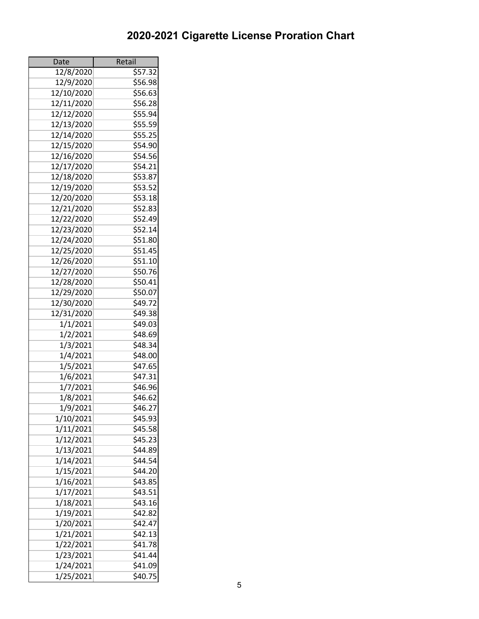| Date       | Retail             |
|------------|--------------------|
| 12/8/2020  | 557.32             |
| 12/9/2020  | \$56.98            |
| 12/10/2020 | \$56.63            |
| 12/11/2020 | \$56.28            |
| 12/12/2020 | \$55.94            |
| 12/13/2020 | \$55.59            |
| 12/14/2020 | \$55.25            |
| 12/15/2020 | \$54.90            |
| 12/16/2020 | \$54.56            |
| 12/17/2020 | \$54.21            |
| 12/18/2020 | \$53.87            |
| 12/19/2020 | \$53.52            |
| 12/20/2020 | \$53.18            |
| 12/21/2020 | \$52.83            |
| 12/22/2020 | \$52.49            |
| 12/23/2020 | \$52.14            |
| 12/24/2020 | \$51.80            |
| 12/25/2020 | \$51.45            |
| 12/26/2020 | \$51.10            |
| 12/27/2020 | \$50.76            |
| 12/28/2020 | \$50.41            |
| 12/29/2020 | \$50.07            |
| 12/30/2020 | \$49.72            |
| 12/31/2020 | \$49.38            |
| 1/1/2021   | \$49.03            |
| 1/2/2021   | \$48.69            |
| 1/3/2021   | \$48.34            |
| 1/4/2021   | \$48.00            |
| 1/5/2021   | \$47.65            |
| 1/6/2021   | \$47.31            |
| 1/7/2021   | \$46.96            |
| 1/8/2021   | 546.62             |
| 1/9/2021   | \$46.27            |
| 1/10/2021  | \$45.93            |
| 1/11/2021  | \$45.58            |
| 1/12/2021  | \$45.23            |
|            |                    |
| 1/13/2021  | \$44.89<br>\$44.54 |
| 1/14/2021  |                    |
| 1/15/2021  | \$44.20            |
| 1/16/2021  | \$43.85            |
| 1/17/2021  | \$43.51            |
| 1/18/2021  | \$43.16            |
| 1/19/2021  | \$42.82            |
| 1/20/2021  | \$42.47            |
| 1/21/2021  | 542.13             |
| 1/22/2021  | \$41.78            |
| 1/23/2021  | \$41.44            |
| 1/24/2021  | \$41.09            |
| 1/25/2021  | \$40.75            |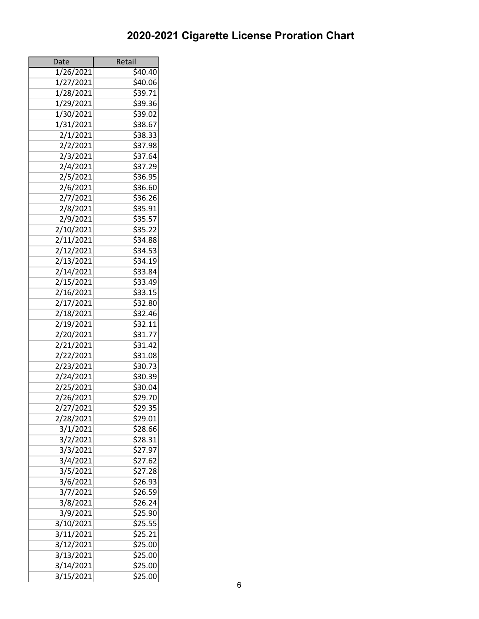| Date      | Retail  |
|-----------|---------|
| 1/26/2021 | \$40.40 |
| 1/27/2021 | \$40.06 |
| 1/28/2021 | \$39.71 |
| 1/29/2021 | \$39.36 |
| 1/30/2021 | \$39.02 |
| 1/31/2021 | \$38.67 |
| 2/1/2021  | \$38.33 |
| 2/2/2021  | \$37.98 |
| 2/3/2021  | \$37.64 |
| 2/4/2021  | \$37.29 |
| 2/5/2021  | \$36.95 |
| 2/6/2021  | \$36.60 |
| 2/7/2021  | \$36.26 |
| 2/8/2021  | \$35.91 |
| 2/9/2021  | \$35.57 |
|           |         |
| 2/10/2021 | \$35.22 |
| 2/11/2021 | \$34.88 |
| 2/12/2021 | \$34.53 |
| 2/13/2021 | \$34.19 |
| 2/14/2021 | \$33.84 |
| 2/15/2021 | \$33.49 |
| 2/16/2021 | \$33.15 |
| 2/17/2021 | \$32.80 |
| 2/18/2021 | \$32.46 |
| 2/19/2021 | \$32.11 |
| 2/20/2021 | \$31.77 |
| 2/21/2021 | \$31.42 |
| 2/22/2021 | \$31.08 |
| 2/23/2021 | \$30.73 |
| 2/24/2021 | \$30.39 |
| 2/25/2021 | \$30.04 |
| 2/26/2021 | \$29.70 |
| 2/27/2021 | \$29.35 |
| 2/28/2021 | \$29.01 |
| 3/1/2021  | \$28.66 |
| 3/2/2021  | \$28.31 |
| 3/3/2021  | \$27.97 |
| 3/4/2021  | \$27.62 |
| 3/5/2021  | \$27.28 |
| 3/6/2021  | \$26.93 |
| 3/7/2021  | \$26.59 |
| 3/8/2021  | \$26.24 |
| 3/9/2021  | \$25.90 |
| 3/10/2021 | \$25.55 |
| 3/11/2021 | \$25.21 |
| 3/12/2021 | \$25.00 |
| 3/13/2021 | \$25.00 |
| 3/14/2021 | \$25.00 |
| 3/15/2021 | \$25.00 |
|           |         |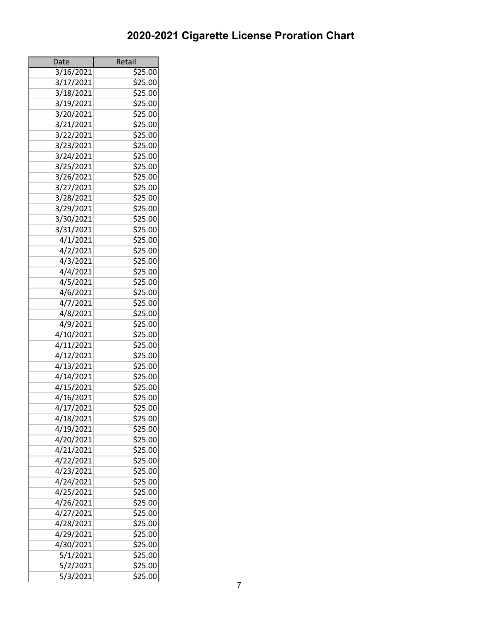| Date                   | Retail             |
|------------------------|--------------------|
| 3/16/2021              | \$25.00            |
| 3/17/2021              | \$25.00            |
| 3/18/2021              | \$25.00            |
| 3/19/2021              | \$25.00            |
| 3/20/2021              | \$25.00            |
| 3/21/2021              | \$25.00            |
| 3/22/2021              | \$25.00            |
| 3/23/2021              | \$25.00            |
| 3/24/2021              | \$25.00            |
| 3/25/2021              | \$25.00            |
| 3/26/2021              | \$25.00            |
| 3/27/2021              | \$25.00            |
| 3/28/2021              | \$25.00            |
| 3/29/2021              | \$25.00            |
| 3/30/2021              | \$25.00            |
| 3/31/2021              | \$25.00            |
| 4/1/2021               | \$25.00            |
| $\frac{4}{2}$ /2021    | \$25.00            |
| 4/3/2021               | \$25.00            |
| 4/4/2021               | \$25.00            |
| 4/5/2021               | \$25.00            |
| 4/6/2021               | \$25.00            |
| 4/7/2021               | \$25.00            |
| 4/8/2021               | \$25.00            |
| 4/9/2021               | 525.00             |
| 4/10/2021              | \$25.00            |
| 4/11/2021              | \$25.00            |
| 4/12/2021              | \$25.00            |
| 4/13/2021              | \$25.00            |
| 4/14/2021              | \$25.00            |
| 4/15/2021              | \$25.00            |
| 4/16/2021              | \$25.00            |
| 4/17/2021              | \$25.00            |
| 4/18/2021              | \$25.00            |
| 4/19/2021              | \$25.00            |
| 4/20/2021              | \$25.00            |
| 4/21/2021              | \$25.00            |
| 4/22/2021              | \$25.00            |
| 4/23/2021              |                    |
|                        | \$25.00<br>\$25.00 |
| 4/24/2021              |                    |
| 4/25/2021              | \$25.00            |
| 4/26/2021              | \$25.00            |
| 4/27/2021              | \$25.00            |
| 4/28/2021              | \$25.00            |
| 4/29/2021              | \$25.00            |
| 4/30/2021              | \$25.00            |
| 5/1/2021               | \$25.00            |
| $\frac{1}{2}/2$ / 2021 | \$25.00            |
| 5/3/2021               | \$25.00            |